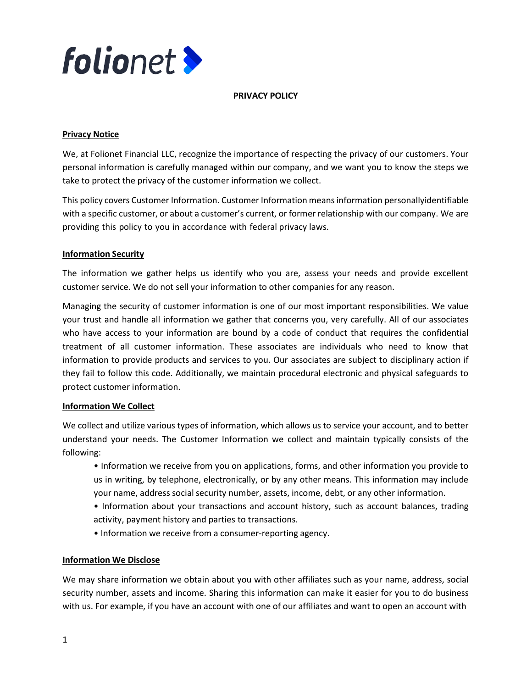

#### PRIVACY POLICY

## Privacy Notice

We, at Folionet Financial LLC, recognize the importance of respecting the privacy of our customers. Your personal information is carefully managed within our company, and we want you to know the steps we take to protect the privacy of the customer information we collect.

This policy covers Customer Information. Customer Information means information personally identifiable with a specific customer, or about a customer's current, or former relationship with our company. We are providing this policy to you in accordance with federal privacy laws.

## Information Security

The information we gather helps us identify who you are, assess your needs and provide excellent customer service. We do not sell your information to other companies for any reason.

Managing the security of customer information is one of our most important responsibilities. We value your trust and handle all information we gather that concerns you, very carefully. All of our associates who have access to your information are bound by a code of conduct that requires the confidential treatment of all customer information. These associates are individuals who need to know that information to provide products and services to you. Our associates are subject to disciplinary action if they fail to follow this code. Additionally, we maintain procedural electronic and physical safeguards to protect customer information.

## Information We Collect

We collect and utilize various types of information, which allows us to service your account, and to better understand your needs. The Customer Information we collect and maintain typically consists of the following:

• Information we receive from you on applications, forms, and other information you provide to us in writing, by telephone, electronically, or by any other means. This information may include your name, address social security number, assets, income, debt, or any other information.

• Information about your transactions and account history, such as account balances, trading activity, payment history and parties to transactions.

• Information we receive from a consumer-reporting agency.

## Information We Disclose

We may share information we obtain about you with other affiliates such as your name, address, social security number, assets and income. Sharing this information can make it easier for you to do business with us. For example, if you have an account with one of our affiliates and want to open an account with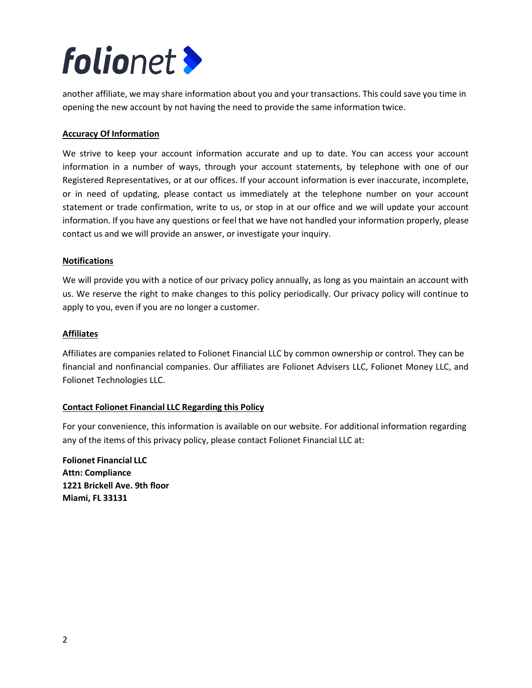# **folio**net

another affiliate, we may share information about you and your transactions. This could save you time in opening the new account by not having the need to provide the same information twice.

# Accuracy Of Information

We strive to keep your account information accurate and up to date. You can access your account information in a number of ways, through your account statements, by telephone with one of our Registered Representatives, or at our offices. If your account information is ever inaccurate, incomplete, or in need of updating, please contact us immediately at the telephone number on your account statement or trade confirmation, write to us, or stop in at our office and we will update your account information. If you have any questions or feel that we have not handled your information properly, please contact us and we will provide an answer, or investigate your inquiry.

## Notifications

We will provide you with a notice of our privacy policy annually, as long as you maintain an account with us. We reserve the right to make changes to this policy periodically. Our privacy policy will continue to apply to you, even if you are no longer a customer.

## Affiliates

Affiliates are companies related to Folionet Financial LLC by common ownership or control. They can be financial and nonfinancial companies. Our affiliates are Folionet Advisers LLC, Folionet Money LLC, and Folionet Technologies LLC.

## Contact Folionet Financial LLC Regarding this Policy

For your convenience, this information is available on our website. For additional information regarding any of the items of this privacy policy, please contact Folionet Financial LLC at:

Folionet Financial LLC Attn: Compliance 1221 Brickell Ave. 9th floor Miami, FL 33131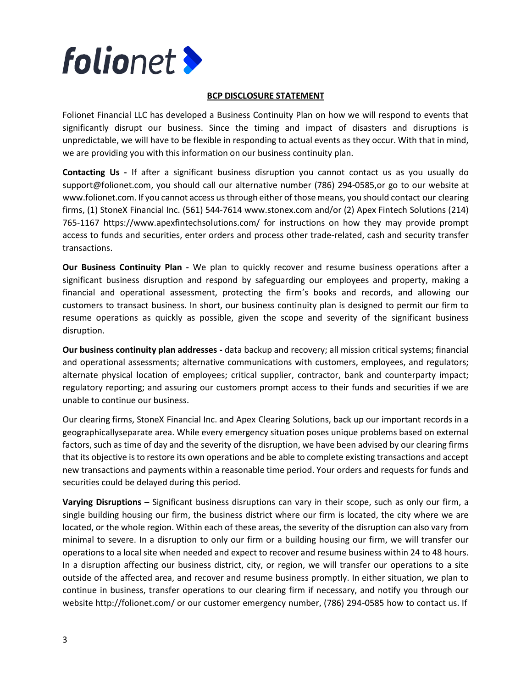

#### BCP DISCLOSURE STATEMENT

Folionet Financial LLC has developed a Business Continuity Plan on how we will respond to events that significantly disrupt our business. Since the timing and impact of disasters and disruptions is unpredictable, we will have to be flexible in responding to actual events as they occur. With that in mind, we are providing you with this information on our business continuity plan.

Contacting Us - If after a significant business disruption you cannot contact us as you usually do support@folionet.com, you should call our alternative number (786) 294-0585,or go to our website at www.folionet.com. If you cannot access us through either of those means, you should contact our clearing firms, (1) StoneX Financial Inc. (561) 544-7614 www.stonex.com and/or (2) Apex Fintech Solutions (214) 765-1167 https://www.apexfintechsolutions.com/ for instructions on how they may provide prompt access to funds and securities, enter orders and process other trade-related, cash and security transfer transactions.

Our Business Continuity Plan - We plan to quickly recover and resume business operations after a significant business disruption and respond by safeguarding our employees and property, making a financial and operational assessment, protecting the firm's books and records, and allowing our customers to transact business. In short, our business continuity plan is designed to permit our firm to resume operations as quickly as possible, given the scope and severity of the significant business disruption.

Our business continuity plan addresses - data backup and recovery; all mission critical systems; financial and operational assessments; alternative communications with customers, employees, and regulators; alternate physical location of employees; critical supplier, contractor, bank and counterparty impact; regulatory reporting; and assuring our customers prompt access to their funds and securities if we are unable to continue our business.

Our clearing firms, StoneX Financial Inc. and Apex Clearing Solutions, back up our important records in a geographically separate area. While every emergency situation poses unique problems based on external factors, such as time of day and the severity of the disruption, we have been advised by our clearing firms that its objective is to restore its own operations and be able to complete existing transactions and accept new transactions and payments within a reasonable time period. Your orders and requests for funds and securities could be delayed during this period.

Varying Disruptions – Significant business disruptions can vary in their scope, such as only our firm, a single building housing our firm, the business district where our firm is located, the city where we are located, or the whole region. Within each of these areas, the severity of the disruption can also vary from minimal to severe. In a disruption to only our firm or a building housing our firm, we will transfer our operations to a local site when needed and expect to recover and resume business within 24 to 48 hours. In a disruption affecting our business district, city, or region, we will transfer our operations to a site outside of the affected area, and recover and resume business promptly. In either situation, we plan to continue in business, transfer operations to our clearing firm if necessary, and notify you through our website http://folionet.com/ or our customer emergency number, (786) 294-0585 how to contact us. If